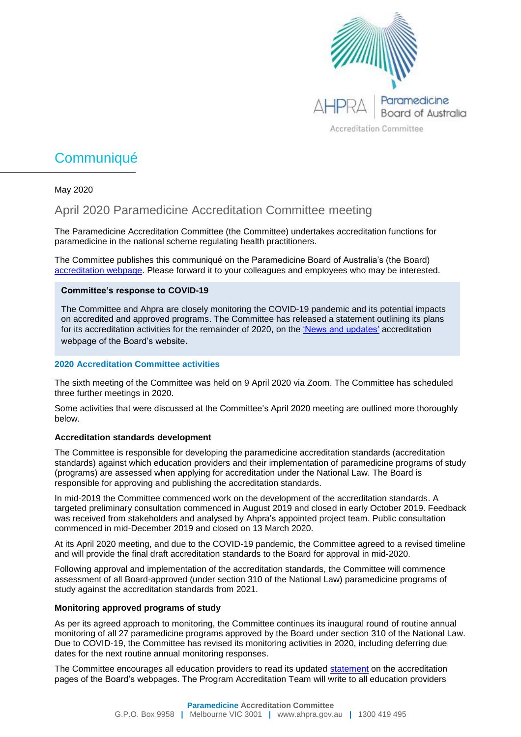

# **Communiqué**

May 2020

# April 2020 Paramedicine Accreditation Committee meeting

The Paramedicine Accreditation Committee (the Committee) undertakes accreditation functions for paramedicine in the national scheme regulating health practitioners.

The Committee publishes this communiqué on the Paramedicine Board of Australia's (the Board) [accreditation webpage.](https://www.paramedicineboard.gov.au/Accreditation.aspx) Please forward it to your colleagues and employees who may be interested.

# **Committee's response to COVID-19**

The Committee and Ahpra are closely monitoring the COVID-19 pandemic and its potential impacts on accredited and approved programs. The Committee has released a statement outlining its plans for its accreditation activities for the remainder of 2020, on the ['News and updates'](https://www.paramedicineboard.gov.au/Accreditation/Updates.aspx) accreditation webpage of the Board's website.

# **2020 Accreditation Committee activities**

The sixth meeting of the Committee was held on 9 April 2020 via Zoom. The Committee has scheduled three further meetings in 2020.

Some activities that were discussed at the Committee's April 2020 meeting are outlined more thoroughly below.

# **Accreditation standards development**

The Committee is responsible for developing the paramedicine accreditation standards (accreditation standards) against which education providers and their implementation of paramedicine programs of study (programs) are assessed when applying for accreditation under the National Law. The Board is responsible for approving and publishing the accreditation standards.

In mid-2019 the Committee commenced work on the development of the accreditation standards. A targeted preliminary consultation commenced in August 2019 and closed in early October 2019. Feedback was received from stakeholders and analysed by Ahpra's appointed project team. Public consultation commenced in mid-December 2019 and closed on 13 March 2020.

At its April 2020 meeting, and due to the COVID-19 pandemic, the Committee agreed to a revised timeline and will provide the final draft accreditation standards to the Board for approval in mid-2020.

Following approval and implementation of the accreditation standards, the Committee will commence assessment of all Board-approved (under section 310 of the National Law) paramedicine programs of study against the accreditation standards from 2021.

# **Monitoring approved programs of study**

As per its agreed approach to monitoring, the Committee continues its inaugural round of routine annual monitoring of all 27 paramedicine programs approved by the Board under section 310 of the National Law. Due to COVID-19, the Committee has revised its monitoring activities in 2020, including deferring due dates for the next routine annual monitoring responses.

The Committee encourages all education providers to read its updated [statement](https://www.paramedicineboard.gov.au/Accreditation/Updates.aspx) on the accreditation pages of the Board's webpages. The Program Accreditation Team will write to all education providers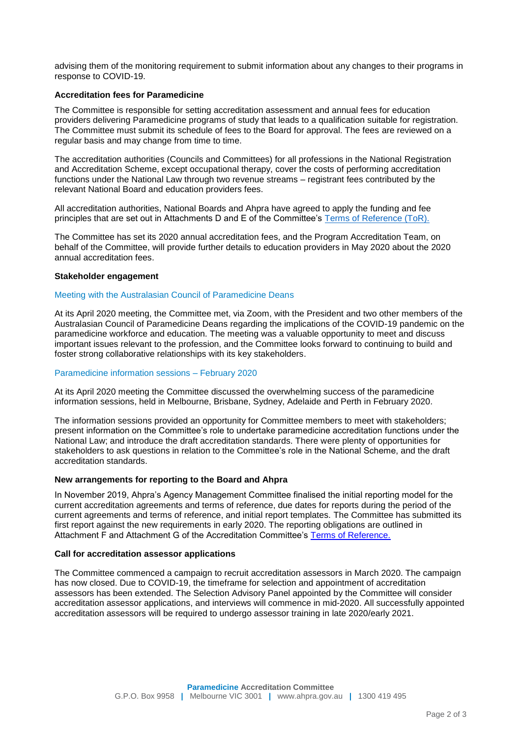advising them of the monitoring requirement to submit information about any changes to their programs in response to COVID-19.

# **Accreditation fees for Paramedicine**

The Committee is responsible for setting accreditation assessment and annual fees for education providers delivering Paramedicine programs of study that leads to a qualification suitable for registration. The Committee must submit its schedule of fees to the Board for approval. The fees are reviewed on a regular basis and may change from time to time.

The accreditation authorities (Councils and Committees) for all professions in the National Registration and Accreditation Scheme, except occupational therapy, cover the costs of performing accreditation functions under the National Law through two revenue streams – registrant fees contributed by the relevant National Board and education providers fees.

All accreditation authorities, National Boards and Ahpra have agreed to apply the funding and fee principles that are set out in Attachments D and E of the Committee's [Terms of Reference \(ToR\).](https://www.paramedicineboard.gov.au/Accreditation/Accreditation-Committee.aspx)

The Committee has set its 2020 annual accreditation fees, and the Program Accreditation Team, on behalf of the Committee, will provide further details to education providers in May 2020 about the 2020 annual accreditation fees.

#### **Stakeholder engagement**

# Meeting with the Australasian Council of Paramedicine Deans

At its April 2020 meeting, the Committee met, via Zoom, with the President and two other members of the Australasian Council of Paramedicine Deans regarding the implications of the COVID-19 pandemic on the paramedicine workforce and education. The meeting was a valuable opportunity to meet and discuss important issues relevant to the profession, and the Committee looks forward to continuing to build and foster strong collaborative relationships with its key stakeholders.

#### Paramedicine information sessions – February 2020

At its April 2020 meeting the Committee discussed the overwhelming success of the paramedicine information sessions, held in Melbourne, Brisbane, Sydney, Adelaide and Perth in February 2020.

The information sessions provided an opportunity for Committee members to meet with stakeholders; present information on the Committee's role to undertake paramedicine accreditation functions under the National Law; and introduce the draft accreditation standards. There were plenty of opportunities for stakeholders to ask questions in relation to the Committee's role in the National Scheme, and the draft accreditation standards.

#### **New arrangements for reporting to the Board and Ahpra**

In November 2019, Ahpra's Agency Management Committee finalised the initial reporting model for the current accreditation agreements and terms of reference, due dates for reports during the period of the current agreements and terms of reference, and initial report templates. The Committee has submitted its first report against the new requirements in early 2020. The reporting obligations are outlined in Attachment F and Attachment G of the Accreditation Committee's [Terms of Reference.](https://www.paramedicineboard.gov.au/Accreditation/Accreditation-Committee.aspx)

#### **Call for accreditation assessor applications**

The Committee commenced a campaign to recruit accreditation assessors in March 2020. The campaign has now closed. Due to COVID-19, the timeframe for selection and appointment of accreditation assessors has been extended. The Selection Advisory Panel appointed by the Committee will consider accreditation assessor applications, and interviews will commence in mid-2020. All successfully appointed accreditation assessors will be required to undergo assessor training in late 2020/early 2021.